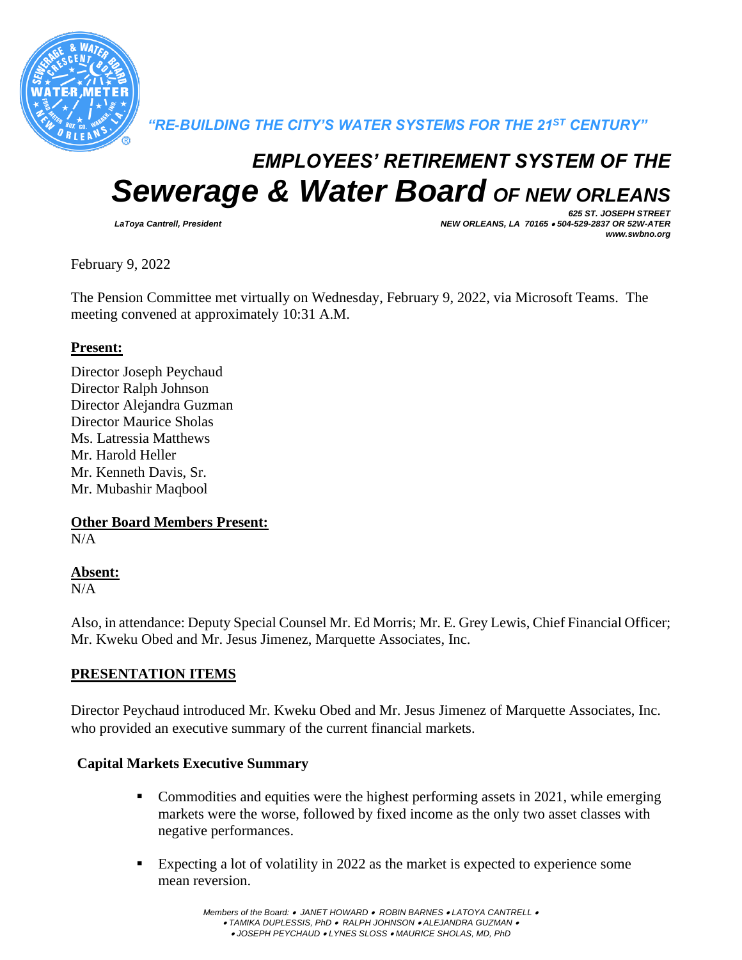

*"RE-BUILDING THE CITY'S WATER SYSTEMS FOR THE 21ST CENTURY"*

# *EMPLOYEES' RETIREMENT SYSTEM OF THE Sewerage & Water Board OF NEW ORLEANS*

*625 ST. JOSEPH STREET LaToya Cantrell, President NEW ORLEANS, LA 70165* • *504-529-2837 OR 52W-ATER www.swbno.org*

February 9, 2022

The Pension Committee met virtually on Wednesday, February 9, 2022, via Microsoft Teams. The meeting convened at approximately 10:31 A.M.

## **Present:**

Director Joseph Peychaud Director Ralph Johnson Director Alejandra Guzman Director Maurice Sholas Ms. Latressia Matthews Mr. Harold Heller Mr. Kenneth Davis, Sr. Mr. Mubashir Maqbool

**Other Board Members Present:**

 $N/A$ 

## **Absent:**

N/A

Also, in attendance: Deputy Special Counsel Mr. Ed Morris; Mr. E. Grey Lewis, Chief Financial Officer; Mr. Kweku Obed and Mr. Jesus Jimenez, Marquette Associates, Inc.

## **PRESENTATION ITEMS**

Director Peychaud introduced Mr. Kweku Obed and Mr. Jesus Jimenez of Marquette Associates, Inc. who provided an executive summary of the current financial markets.

## **Capital Markets Executive Summary**

- Commodities and equities were the highest performing assets in 2021, while emerging markets were the worse, followed by fixed income as the only two asset classes with negative performances.
- Expecting a lot of volatility in 2022 as the market is expected to experience some mean reversion.

*Members of the Board:* • *JANET HOWARD* • *ROBIN BARNES* • *LATOYA CANTRELL* • • *TAMIKA DUPLESSIS, PhD* • *RALPH JOHNSON* • *ALEJANDRA GUZMAN* • • *JOSEPH PEYCHAUD* • *LYNES SLOSS* • *MAURICE SHOLAS, MD, PhD*